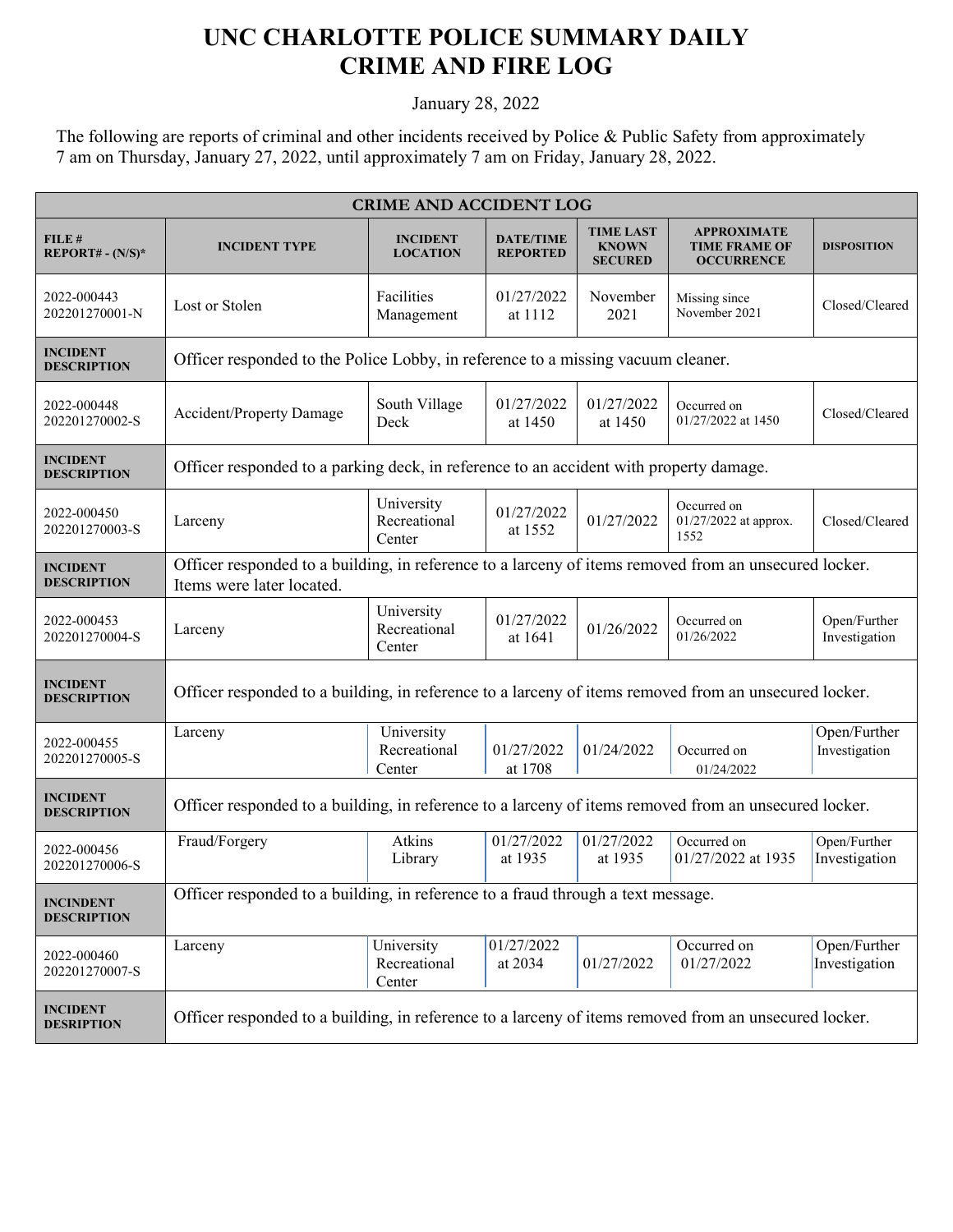## **UNC CHARLOTTE POLICE SUMMARY DAILY CRIME AND FIRE LOG**

January 28, 2022

The following are reports of criminal and other incidents received by Police & Public Safety from approximately 7 am on Thursday, January 27, 2022, until approximately 7 am on Friday, January 28, 2022.

| <b>CRIME AND ACCIDENT LOG</b>          |                                                                                                                                    |                                      |                                     |                                                    |                                                                 |                               |  |  |
|----------------------------------------|------------------------------------------------------------------------------------------------------------------------------------|--------------------------------------|-------------------------------------|----------------------------------------------------|-----------------------------------------------------------------|-------------------------------|--|--|
| FILE#<br>$REPORT# - (N/S)*$            | <b>INCIDENT TYPE</b>                                                                                                               | <b>INCIDENT</b><br><b>LOCATION</b>   | <b>DATE/TIME</b><br><b>REPORTED</b> | <b>TIME LAST</b><br><b>KNOWN</b><br><b>SECURED</b> | <b>APPROXIMATE</b><br><b>TIME FRAME OF</b><br><b>OCCURRENCE</b> | <b>DISPOSITION</b>            |  |  |
| 2022-000443<br>202201270001-N          | Lost or Stolen                                                                                                                     | Facilities<br>Management             | 01/27/2022<br>at 1112               | November<br>2021                                   | Missing since<br>November 2021                                  | Closed/Cleared                |  |  |
| <b>INCIDENT</b><br><b>DESCRIPTION</b>  | Officer responded to the Police Lobby, in reference to a missing vacuum cleaner.                                                   |                                      |                                     |                                                    |                                                                 |                               |  |  |
| 2022-000448<br>202201270002-S          | Accident/Property Damage                                                                                                           | South Village<br>Deck                | 01/27/2022<br>at 1450               | 01/27/2022<br>at 1450                              | Occurred on<br>01/27/2022 at 1450                               | Closed/Cleared                |  |  |
| <b>INCIDENT</b><br><b>DESCRIPTION</b>  | Officer responded to a parking deck, in reference to an accident with property damage.                                             |                                      |                                     |                                                    |                                                                 |                               |  |  |
| 2022-000450<br>202201270003-S          | Larceny                                                                                                                            | University<br>Recreational<br>Center | 01/27/2022<br>at 1552               | 01/27/2022                                         | Occurred on<br>01/27/2022 at approx.<br>1552                    | Closed/Cleared                |  |  |
| <b>INCIDENT</b><br><b>DESCRIPTION</b>  | Officer responded to a building, in reference to a larceny of items removed from an unsecured locker.<br>Items were later located. |                                      |                                     |                                                    |                                                                 |                               |  |  |
| 2022-000453<br>202201270004-S          | Larceny                                                                                                                            | University<br>Recreational<br>Center | 01/27/2022<br>at 1641               | 01/26/2022                                         | Occurred on<br>01/26/2022                                       | Open/Further<br>Investigation |  |  |
| <b>INCIDENT</b><br><b>DESCRIPTION</b>  | Officer responded to a building, in reference to a larceny of items removed from an unsecured locker.                              |                                      |                                     |                                                    |                                                                 |                               |  |  |
| 2022-000455<br>202201270005-S          | Larceny                                                                                                                            | University<br>Recreational<br>Center | 01/27/2022<br>at 1708               | 01/24/2022                                         | Occurred on<br>01/24/2022                                       | Open/Further<br>Investigation |  |  |
| <b>INCIDENT</b><br><b>DESCRIPTION</b>  | Officer responded to a building, in reference to a larceny of items removed from an unsecured locker.                              |                                      |                                     |                                                    |                                                                 |                               |  |  |
| 2022-000456<br>202201270006-S          | Fraud/Forgery                                                                                                                      | Atkins<br>Library                    | 01/27/2022<br>at 1935               | 01/27/2022<br>at 1935                              | Occurred on<br>01/27/2022 at 1935                               | Open/Further<br>Investigation |  |  |
| <b>INCINDENT</b><br><b>DESCRIPTION</b> | Officer responded to a building, in reference to a fraud through a text message.                                                   |                                      |                                     |                                                    |                                                                 |                               |  |  |
| 2022-000460<br>202201270007-S          | Larceny                                                                                                                            | University<br>Recreational<br>Center | 01/27/2022<br>at 2034               | 01/27/2022                                         | Occurred on<br>01/27/2022                                       | Open/Further<br>Investigation |  |  |
| <b>INCIDENT</b><br><b>DESRIPTION</b>   | Officer responded to a building, in reference to a larceny of items removed from an unsecured locker.                              |                                      |                                     |                                                    |                                                                 |                               |  |  |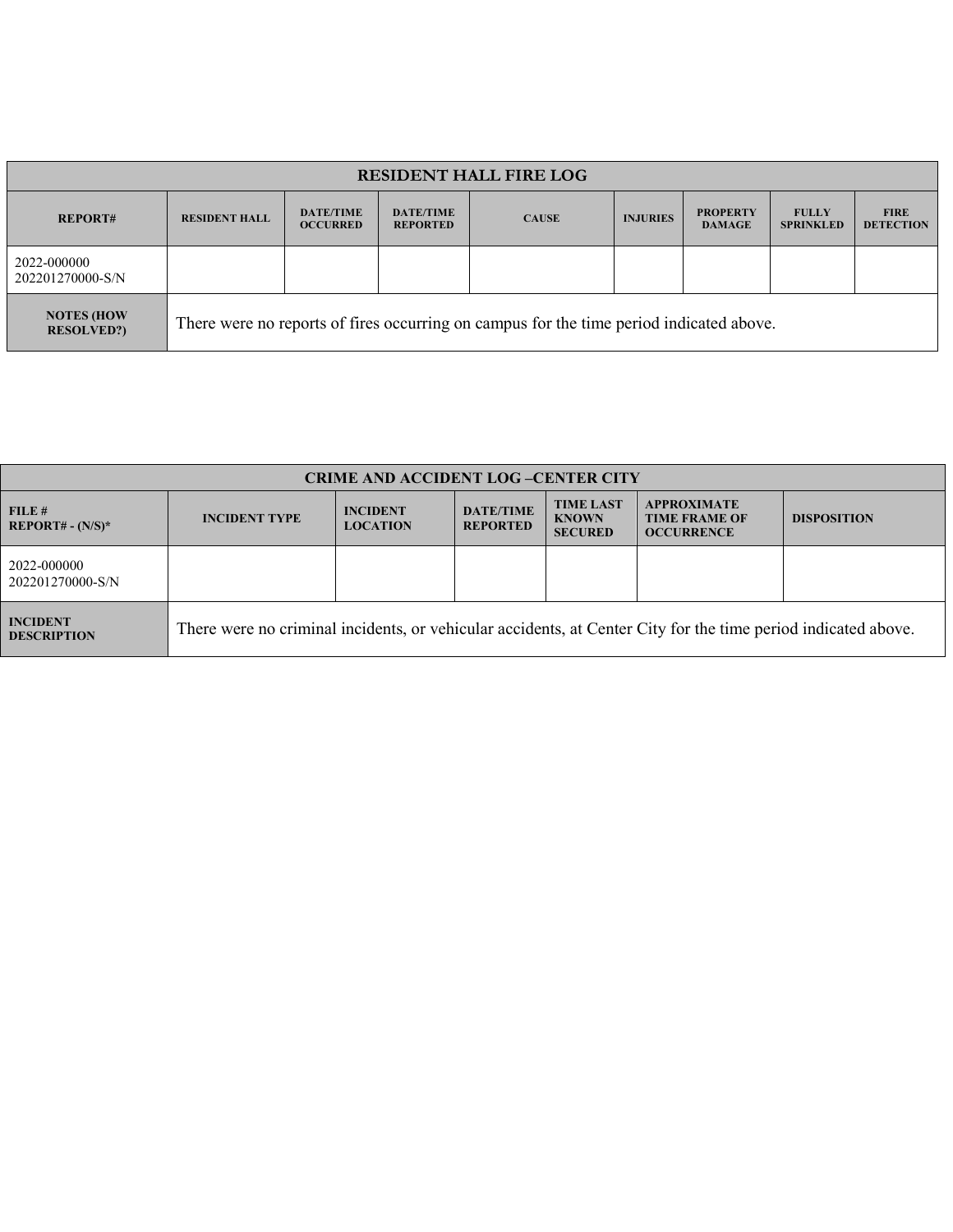| <b>RESIDENT HALL FIRE LOG</b>         |                                                                                         |                                     |                                     |              |                 |                                  |                                  |                                 |
|---------------------------------------|-----------------------------------------------------------------------------------------|-------------------------------------|-------------------------------------|--------------|-----------------|----------------------------------|----------------------------------|---------------------------------|
| <b>REPORT#</b>                        | <b>RESIDENT HALL</b>                                                                    | <b>DATE/TIME</b><br><b>OCCURRED</b> | <b>DATE/TIME</b><br><b>REPORTED</b> | <b>CAUSE</b> | <b>INJURIES</b> | <b>PROPERTY</b><br><b>DAMAGE</b> | <b>FULLY</b><br><b>SPRINKLED</b> | <b>FIRE</b><br><b>DETECTION</b> |
| 2022-000000<br>202201270000-S/N       |                                                                                         |                                     |                                     |              |                 |                                  |                                  |                                 |
| <b>NOTES (HOW</b><br><b>RESOLVED?</b> | There were no reports of fires occurring on campus for the time period indicated above. |                                     |                                     |              |                 |                                  |                                  |                                 |

| <b>CRIME AND ACCIDENT LOG-CENTER CITY</b> |                                                                                                               |                                    |                                     |                                                    |                                                                 |                    |  |
|-------------------------------------------|---------------------------------------------------------------------------------------------------------------|------------------------------------|-------------------------------------|----------------------------------------------------|-----------------------------------------------------------------|--------------------|--|
| FILE #<br>$REPORT# - (N/S)*$              | <b>INCIDENT TYPE</b>                                                                                          | <b>INCIDENT</b><br><b>LOCATION</b> | <b>DATE/TIME</b><br><b>REPORTED</b> | <b>TIME LAST</b><br><b>KNOWN</b><br><b>SECURED</b> | <b>APPROXIMATE</b><br><b>TIME FRAME OF</b><br><b>OCCURRENCE</b> | <b>DISPOSITION</b> |  |
| 2022-000000<br>202201270000-S/N           |                                                                                                               |                                    |                                     |                                                    |                                                                 |                    |  |
| <b>INCIDENT</b><br><b>DESCRIPTION</b>     | There were no criminal incidents, or vehicular accidents, at Center City for the time period indicated above. |                                    |                                     |                                                    |                                                                 |                    |  |